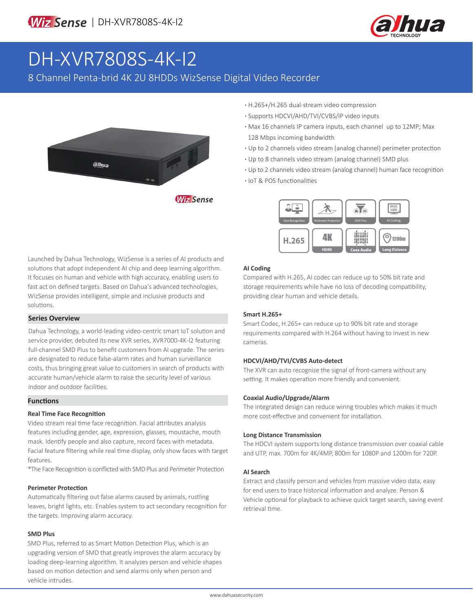

# DH-XVR7808S-4K-I2

8 Channel Penta-brid 4K 2U 8HDDs WizSense Digital Video Recorder



- **·** H.265+/H.265 dual-stream video compression
- **·** Supports HDCVI/AHD/TVI/CVBS/IP video inputs
- **·** Max 16 channels IP camera inputs, each channel up to 12MP; Max 128 Mbps incoming bandwidth
- **·** Up to 2 channels video stream (analog channel) perimeter protection
- **·** Up to 8 channels video stream (analog channel) SMD plus
- **·** Up to 2 channels video stream (analog channel) human face recognition
- **·** IoT & POS functionalities



#### **AI Coding**

Compared with H.265, AI codec can reduce up to 50% bit rate and storage requirements while have no loss of decoding compatibility, providing clear human and vehicle details.

#### **Smart H.265+**

Smart Codec, H.265+ can reduce up to 90% bit rate and storage requirements compared with H.264 without having to invest in new cameras.

#### **HDCVI/AHD/TVI/CVBS Auto-detect**

The XVR can auto recognize the signal of front-camera without any setting. It makes operation more friendly and convenient.

#### **Coaxial Audio/Upgrade/Alarm**

The integrated design can reduce wiring troubles which makes it much more cost-effective and convenient for installation.

#### **Long Distance Transmission**

The HDCVI system supports long distance transmission over coaxial cable and UTP, max. 700m for 4K/4MP, 800m for 1080P and 1200m for 720P.

#### **AI Search**

Extract and classify person and vehicles from massive video data, easy for end users to trace historical information and analyze. Person & Vehicle optional for playback to achieve quick target search, saving event retrieval time.

Launched by Dahua Technology, WizSense is a series of AI products and solutions that adopt independent AI chip and deep learning algorithm. It focuses on human and vehicle with high accuracy, enabling users to fast act on defined targets. Based on Dahua's advanced technologies, WizSense provides intelligent, simple and inclusive products and solutions.

#### **Series Overview**

Dahua Technology, a world-leading video-centric smart IoT solution and service provider, debuted its new XVR series, XVR7000-4K-I2 featuring full-channel SMD Plus to benefit customers from AI upgrade. The series are designated to reduce false-alarm rates and human surveillance costs, thus bringing great value to customers in search of products with accurate human/vehicle alarm to raise the security level of various indoor and outdoor facilities.

#### **Functions**

#### **Real Time Face Recognition**

Video stream real time face recognition. Facial attributes analysis features including gender, age, expression, glasses, moustache, mouth mask. Identify people and also capture, record faces with metadata. Facial feature filtering while real time display, only show faces with target features.

\*The Face Recognition is conflicted with SMD Plus and Perimeter Protection

#### **Perimeter Protection**

Automatically filtering out false alarms caused by animals, rustling leaves, bright lights, etc. Enables system to act secondary recognition for the targets. Improving alarm accuracy.

#### **SMD Plus**

SMD Plus, referred to as Smart Motion Detection Plus, which is an upgrading version of SMD that greatly improves the alarm accuracy by loading deep-learning algorithm. It analyzes person and vehicle shapes based on motion detection and send alarms only when person and vehicle intrudes.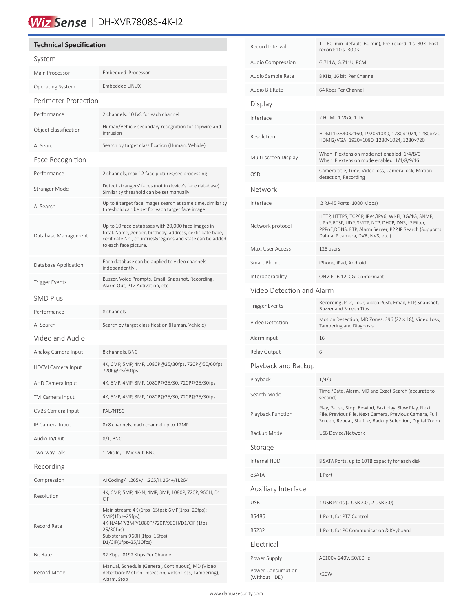## Wiz Sense | DH-XVR7808S-4K-I2

### **Technical Specification** System Main Processor Embedded Processor Operating System Embedded LINUX Perimeter Protection Performance 2 channels, 10 IVS for each channel Object classification Human/Vehicle secondary recognition for tripwire and intrusion AI Search Search by target classification (Human, Vehicle) Face Recognition Performance 2 channels, max 12 face pictures/sec processing Stranger Mode<br>
Stranger Mode<br>
Cimilarity through an be set manually Similarity threshold can be set manually. AI Search Up to 8 target face images search at same time, similarity threshold can be set for each target face image. Database Management Up to 10 face databases with 20,000 face images in total. Name, gender, birthday, address, certificate type, cerificate No., countries&regions and state can be added to each face picture. Database Application Each database can be applied to video channels independently . Trigger Events Buzzer, Voice Prompts, Email, Snapshot, Recording, Alarm Out, PTZ Activation, etc. SMD Plus Performance 8 channels AI Search Search by target classification (Human, Vehicle) Video and Audio Analog Camera Input 8 channels, BNC HDCVI Camera Input 4K, 6MP, 5MP, 4MP, 1080P@25/30fps, 720P@50/60fps, 720P@25/30fps AHD Camera Input 4K, 5MP, 4MP, 3MP, 1080P@25/30, 720P@25/30fps TVI Camera Input 4K, 5MP, 4MP, 3MP, 1080P@25/30, 720P@25/30fps CVBS Camera Input PAL/NTSC IP Camera Input 8+8 channels, each channel up to 12MP Audio In/Out 8/1, BNC Two-way Talk 1 Mic In, 1 Mic Out, BNC Recording Compression AI Coding/H.265+/H.265/H.264+/H.264 Resolution 4K, 6MP, 5MP, 4K-N, 4MP, 3MP, 1080P, 720P, 960H, D1, CIF Record Rate Main stream: 4K (1fps–15fps); 6MP(1fps–20fps); 5MP(1fps–25fps); 4K-N/4MP/3MP/1080P/720P/960H/D1/CIF (1fps– 25/30fps) Sub steram:960H(1fps–15fps); D1/CIF(1fps–25/30fps) Bit Rate 32 Kbps–8192 Kbps Per Channel Record Mode Manual, Schedule (General, Continuous), MD (Video detection: Motion Detection, Video Loss, Tampering), Alarm, Stop

ׇ֦֧

| Record Interval                    | 1-60 min (default: 60 min), Pre-record: 1 s-30 s, Post-<br>record: 10 s-300 s                                                                                                                            |  |  |  |
|------------------------------------|----------------------------------------------------------------------------------------------------------------------------------------------------------------------------------------------------------|--|--|--|
| Audio Compression                  | G.711A, G.711U, PCM                                                                                                                                                                                      |  |  |  |
| Audio Sample Rate                  | 8 KHz, 16 bit Per Channel                                                                                                                                                                                |  |  |  |
| Audio Bit Rate                     | 64 Kbps Per Channel                                                                                                                                                                                      |  |  |  |
| Display                            |                                                                                                                                                                                                          |  |  |  |
| Interface                          | 2 HDMI, 1 VGA, 1 TV                                                                                                                                                                                      |  |  |  |
| Resolution                         | HDMI 1:3840×2160, 1920×1080, 1280×1024, 1280×720<br>HDMI2/VGA: 1920×1080, 1280×1024, 1280×720                                                                                                            |  |  |  |
| Multi-screen Display               | When IP extension mode not enabled: 1/4/8/9<br>When IP extension mode enabled: 1/4/8/9/16                                                                                                                |  |  |  |
| <b>OSD</b>                         | Camera title, Time, Video loss, Camera lock, Motion<br>detection, Recording                                                                                                                              |  |  |  |
| Network                            |                                                                                                                                                                                                          |  |  |  |
| Interface                          | 2 RJ-45 Ports (1000 Mbps)                                                                                                                                                                                |  |  |  |
| Network protocol                   | HTTP, HTTPS, TCP/IP, IPv4/IPv6, Wi-Fi, 3G/4G, SNMP,<br>UPnP, RTSP, UDP, SMTP, NTP, DHCP, DNS, IP Filter,<br>PPPoE, DDNS, FTP, Alarm Server, P2P, IP Search (Supports<br>Dahua IP camera, DVR, NVS, etc.) |  |  |  |
| Max. User Access                   | 128 users                                                                                                                                                                                                |  |  |  |
| Smart Phone                        | iPhone, iPad, Android                                                                                                                                                                                    |  |  |  |
| Interoperability                   | ONVIF 16.12, CGI Conformant                                                                                                                                                                              |  |  |  |
| Video Detection and Alarm          |                                                                                                                                                                                                          |  |  |  |
| <b>Trigger Events</b>              | Recording, PTZ, Tour, Video Push, Email, FTP, Snapshot,<br><b>Buzzer and Screen Tips</b>                                                                                                                 |  |  |  |
| Video Detection                    | Motion Detection, MD Zones: 396 (22 × 18), Video Loss,<br>Tampering and Diagnosis                                                                                                                        |  |  |  |
| Alarm input                        | 16                                                                                                                                                                                                       |  |  |  |
| Relay Output                       | 6                                                                                                                                                                                                        |  |  |  |
| Playback and Backup                |                                                                                                                                                                                                          |  |  |  |
| Playback                           | 1/4/9                                                                                                                                                                                                    |  |  |  |
| Search Mode                        | Time /Date, Alarm, MD and Exact Search (accurate to<br>second)                                                                                                                                           |  |  |  |
| Playback Function                  | Play, Pause, Stop, Rewind, Fast play, Slow Play, Next<br>File, Previous File, Next Camera, Previous Camera, Full<br>Screen, Repeat, Shuffle, Backup Selection, Digital Zoom                              |  |  |  |
| Backup Mode                        | USB Device/Network                                                                                                                                                                                       |  |  |  |
| Storage                            |                                                                                                                                                                                                          |  |  |  |
| Internal HDD                       | 8 SATA Ports, up to 10TB capacity for each disk                                                                                                                                                          |  |  |  |
| eSATA                              | 1 Port                                                                                                                                                                                                   |  |  |  |
| Auxiliary Interface                |                                                                                                                                                                                                          |  |  |  |
| <b>USB</b>                         | 4 USB Ports (2 USB 2.0, 2 USB 3.0)                                                                                                                                                                       |  |  |  |
| <b>RS485</b>                       | 1 Port, for PTZ Control                                                                                                                                                                                  |  |  |  |
| <b>RS232</b>                       | 1 Port, for PC Communication & Keyboard                                                                                                                                                                  |  |  |  |
| Electrical                         |                                                                                                                                                                                                          |  |  |  |
| Power Supply                       | AC100V-240V, 50/60Hz                                                                                                                                                                                     |  |  |  |
| Power Consumption<br>(Without HDD) | $<$ 20W                                                                                                                                                                                                  |  |  |  |